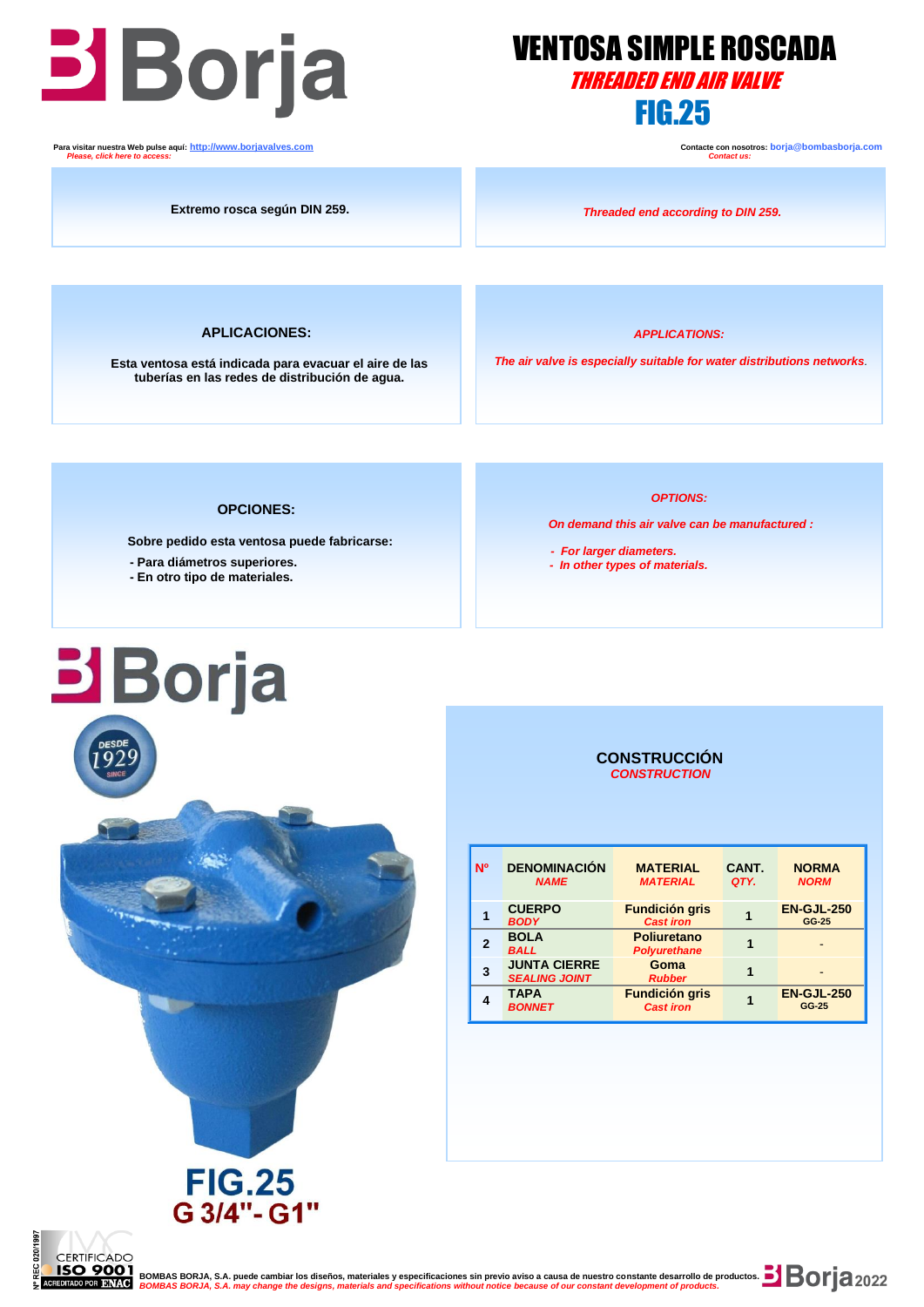

  **Para visitar nuestra Web pulse aquí: [http://www.borjavalves.com](http://www.borjavalves.com/) Contacte con nosotros: borja@bombasborja.com**  *Please, click here to access: Contact us:*

## VENTOSA SIMPLE ROSCADA THREADED END AIR VALVE

**Extremo rosca según DIN 259.**

*Threaded end according to DIN 259.* 

**APLICACIONES:**

**Esta ventosa está indicada para evacuar el aire de las tuberías en las redes de distribución de agua.**

*APPLICATIONS:*

*The air valve is especially suitable for water distributions networks.*

### **OPCIONES:**

 **Sobre pedido esta ventosa puede fabricarse:**

- **- Para diámetros superiores.**
- **- En otro tipo de materiales.**

### *OPTIONS:*

*On demand this air valve can be manufactured :*

- *For larger diameters.*
- *In other types of materials.*

# **Borja**



**FIG.25** G 3/4"- G1"

### **CONSTRUCCIÓN**  *CONSTRUCTION*

| <b>N°</b> | <b>DENOMINACIÓN</b><br><b>NAME</b>          | <b>MATERIAL</b><br><b>MATERIAL</b>        | CANT.<br>QTY. | <b>NORMA</b><br><b>NORM</b> |
|-----------|---------------------------------------------|-------------------------------------------|---------------|-----------------------------|
|           | <b>CUERPO</b><br><b>BODY</b>                | <b>Fundición gris</b><br><b>Cast iron</b> |               | <b>EN-GJL-250</b><br>GG-25  |
|           | <b>BOLA</b><br><b>BALL</b>                  | <b>Poliuretano</b><br><b>Polyurethane</b> |               |                             |
| 3         | <b>JUNTA CIERRE</b><br><b>SEALING JOINT</b> | Goma<br><b>Rubber</b>                     |               |                             |
|           | <b>TAPA</b><br><b>BONNET</b>                | <b>Fundición gris</b><br><b>Cast iron</b> |               | <b>EN-GJL-250</b><br>GG-25  |



**BOMBAS BORJA, S.A. puede cambiar los diseños, materiales y especificaciones sin previo aviso a causa de nuestro constante desarrollo de productos. <b>De company de productos de causa de productos.**  *BOMBAS BORJA, S.A. may change the designs, materials and specifications without notice because of our constant development of products.*